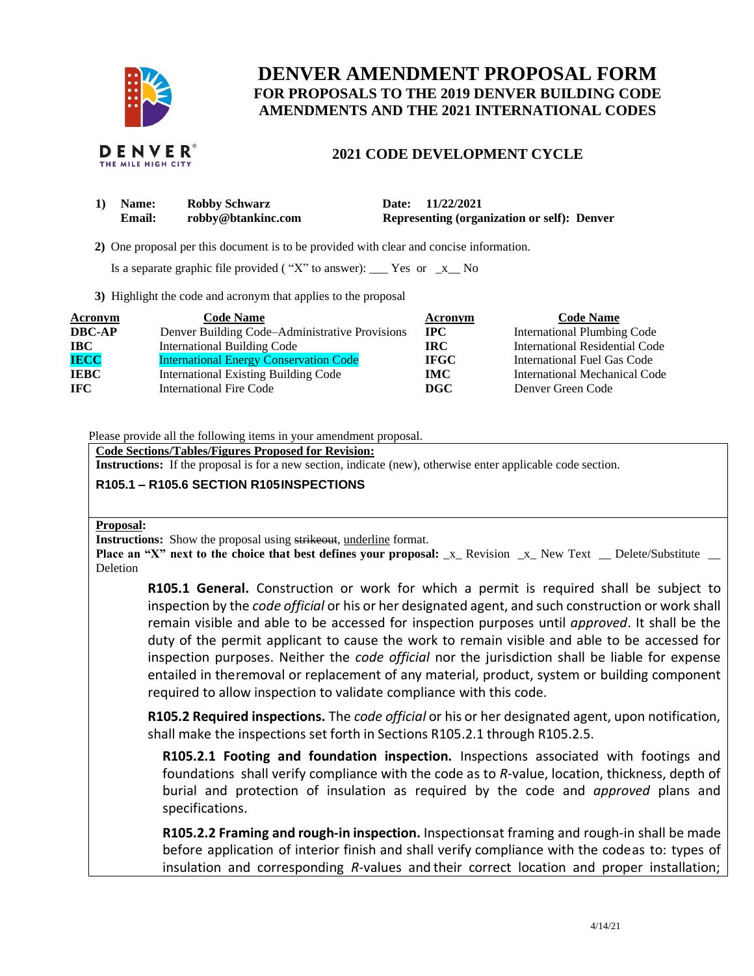

# **DENVER AMENDMENT PROPOSAL FORM FOR PROPOSALS TO THE 2019 DENVER BUILDING CODE AMENDMENTS AND THE 2021 INTERNATIONAL CODES**

## **2021 CODE DEVELOPMENT CYCLE**

| 1) Name:      | <b>Robby Schwarz</b> | Date: 11/22/2021                                   |
|---------------|----------------------|----------------------------------------------------|
| <b>Email:</b> | robby@btankinc.com   | <b>Representing (organization or self): Denver</b> |

 **2)** One proposal per this document is to be provided with clear and concise information.

Is a separate graphic file provided ("X" to answer):  $\Gamma$  Yes or  $\Gamma$  No

**3)** Highlight the code and acronym that applies to the proposal

| Acronym       | <b>Code Name</b>                               | Acronym     | <b>Code Name</b>                   |
|---------------|------------------------------------------------|-------------|------------------------------------|
| <b>DBC-AP</b> | Denver Building Code–Administrative Provisions | $\bf IPC$   | <b>International Plumbing Code</b> |
| IBC           | International Building Code                    | IRC-        | International Residential Code     |
| <b>IECC</b>   | <b>International Energy Conservation Code</b>  | <b>IFGC</b> | International Fuel Gas Code        |
| <b>IEBC</b>   | <b>International Existing Building Code</b>    | <b>IMC</b>  | International Mechanical Code      |
| <b>IFC</b>    | International Fire Code                        | DGC.        | Denver Green Code                  |

Please provide all the following items in your amendment proposal.

**Code Sections/Tables/Figures Proposed for Revision:**

**Instructions:** If the proposal is for a new section, indicate (new), otherwise enter applicable code section.

### **R105.1 – R105.6 SECTION R105 INSPECTIONS**

#### **Proposal:**

**Instructions:** Show the proposal using strikeout, underline format.

**Place an "X" next to the choice that best defines your proposal:** \_x\_ Revision \_x\_ New Text \_ Delete/Substitute \_ Deletion

**R105.1 General.** Construction or work for which a permit is required shall be subject to inspection by the *code official* or his or her designated agent, and such construction or work shall remain visible and able to be accessed for inspection purposes until *approved*. It shall be the duty of the permit applicant to cause the work to remain visible and able to be accessed for inspection purposes. Neither the *code official* nor the jurisdiction shall be liable for expense entailed in theremoval or replacement of any material, product, system or building component required to allow inspection to validate compliance with this code.

**R105.2 Required inspections.** The *code official* or his or her designated agent, upon notification, shall make the inspections set forth in Sections R105.2.1 through R105.2.5.

**R105.2.1 Footing and foundation inspection.** Inspections associated with footings and foundations shall verify compliance with the code as to *R*-value, location, thickness, depth of burial and protection of insulation as required by the code and *approved* plans and specifications.

**R105.2.2 Framing and rough-in inspection.** Inspectionsat framing and rough-in shall be made before application of interior finish and shall verify compliance with the codeas to: types of insulation and corresponding *R*-values and their correct location and proper installation;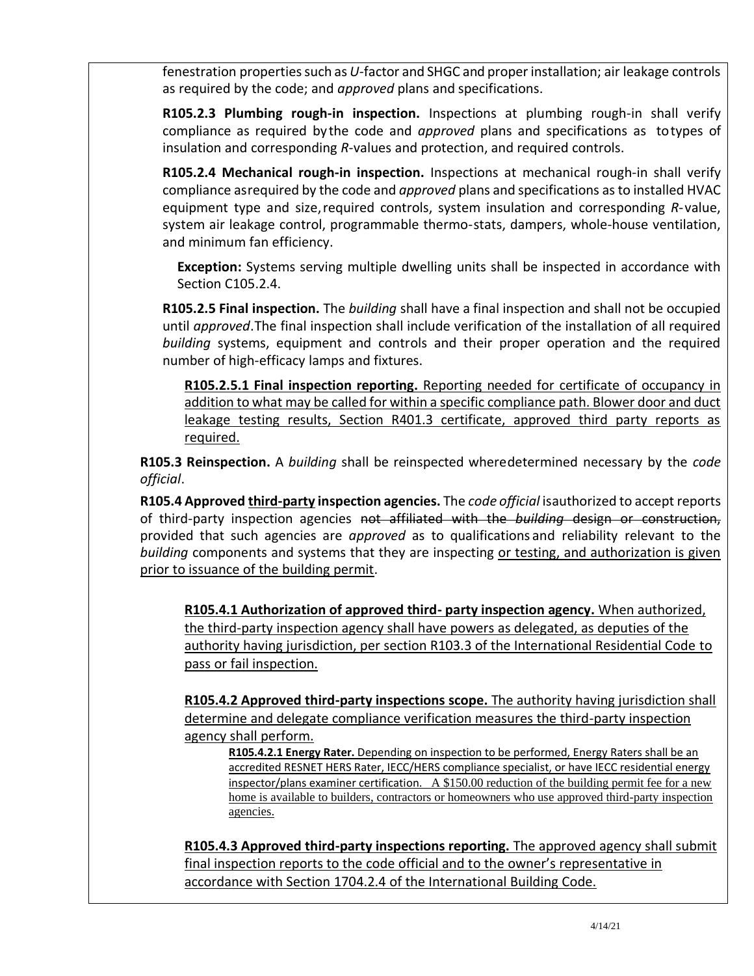fenestration propertiessuch as *U-*factor and SHGC and proper installation; air leakage controls as required by the code; and *approved* plans and specifications.

**R105.2.3 Plumbing rough-in inspection.** Inspections at plumbing rough-in shall verify compliance as required by the code and *approved* plans and specifications as totypes of insulation and corresponding *R*-values and protection, and required controls.

**R105.2.4 Mechanical rough-in inspection.** Inspections at mechanical rough-in shall verify compliance asrequired by the code and *approved* plans and specifications asto installed HVAC equipment type and size,required controls, system insulation and corresponding *R*-value, system air leakage control, programmable thermo-stats, dampers, whole-house ventilation, and minimum fan efficiency.

**Exception:** Systems serving multiple dwelling units shall be inspected in accordance with Section C105.2.4.

**R105.2.5 Final inspection.** The *building* shall have a final inspection and shall not be occupied until *approved*.The final inspection shall include verification of the installation of all required *building* systems, equipment and controls and their proper operation and the required number of high-efficacy lamps and fixtures.

**R105.2.5.1 Final inspection reporting.** Reporting needed for certificate of occupancy in addition to what may be called for within a specific compliance path. Blower door and duct leakage testing results, Section R401.3 certificate, approved third party reports as required.

**R105.3 Reinspection.** A *building* shall be reinspected wheredetermined necessary by the *code official*.

**R105.4 Approved third-party inspection agencies.** The *code official* isauthorized to accept reports of third-party inspection agencies not affiliated with the *building* design or construction, provided that such agencies are *approved* as to qualifications and reliability relevant to the *building* components and systems that they are inspecting or testing, and authorization is given prior to issuance of the building permit.

**R105.4.1 Authorization of approved third- party inspection agency.** When authorized, the third-party inspection agency shall have powers as delegated, as deputies of the authority having jurisdiction, per section R103.3 of the International Residential Code to pass or fail inspection.

**R105.4.2 Approved third-party inspections scope.** The authority having jurisdiction shall determine and delegate compliance verification measures the third-party inspection agency shall perform.

**R105.4.2.1 Energy Rater.** Depending on inspection to be performed, Energy Raters shall be an accredited RESNET HERS Rater, IECC/HERS compliance specialist, or have IECC residential energy inspector/plans examiner certification. A \$150.00 reduction of the building permit fee for a new home is available to builders, contractors or homeowners who use approved third-party inspection agencies.

**R105.4.3 Approved third-party inspections reporting.** The approved agency shall submit final inspection reports to the code official and to the owner's representative in accordance with Section 1704.2.4 of the International Building Code.